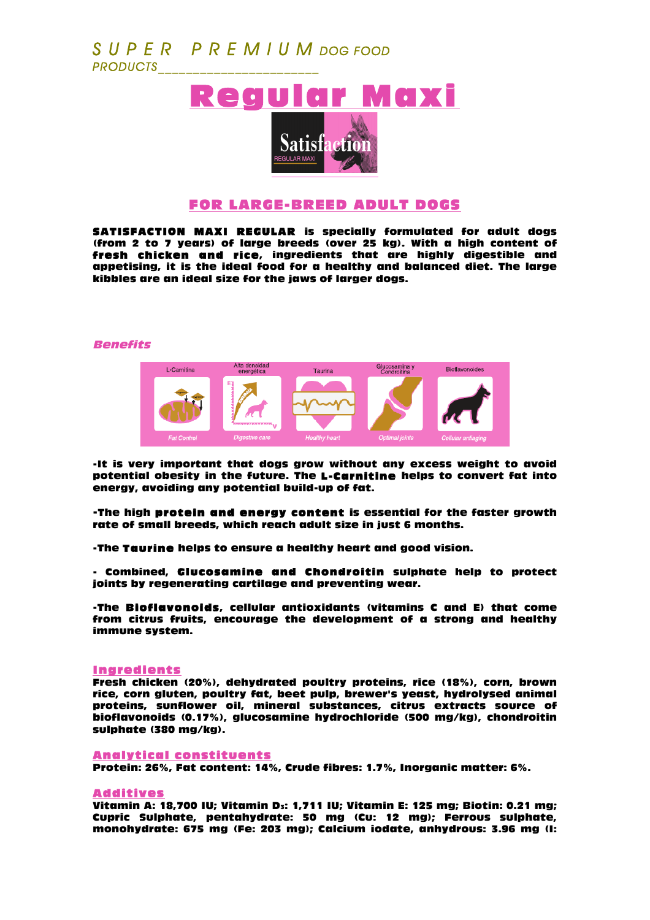# *S U P E R P R E M I U M DOG FOOD PRODUCTS\_\_\_\_\_\_\_\_\_\_\_\_\_\_\_\_\_\_\_\_\_\_\_*



# FOR LARGE-BREED ADULT DOGS

SATISFACTION MAXI REGULAR is specially formulated for adult dogs (from 2 to 7 years) of large breeds (over 25 kg). With a high content of fresh chicken and rice, ingredients that are highly digestible and appetising, it is the ideal food for a healthy and balanced diet. The large kibbles are an ideal size for the jaws of larger dogs.

### Benefits



-It is very important that dogs grow without any excess weight to avoid potential obesity in the future. The L-Carnitine helps to convert fat into energy, avoiding any potential build-up of fat.

-The high protein and energy content is essential for the faster growth rate of small breeds, which reach adult size in just 6 months.

-The Taurine helps to ensure a healthy heart and good vision.

- Combined, Glucosamine and Chondroitin sulphate help to protect joints by regenerating cartilage and preventing wear.

-The Bioflavonoids, cellular antioxidants (vitamins C and E) that come from citrus fruits, encourage the development of a strong and healthy immune system.

#### Ingredients

Fresh chicken (20%), dehydrated poultry proteins, rice (18%), corn, brown rice, corn gluten, poultry fat, beet pulp, brewer's yeast, hydrolysed animal proteins, sunflower oil, mineral substances, citrus extracts source of bioflavonoids (0.17%), glucosamine hydrochloride (500 mg/kg), chondroitin sulphate (380 mg/kg).

## Analytical constituents

Protein: 26%, Fat content: 14%, Crude fibres: 1.7%, Inorganic matter: 6%.

### Additives

Vitamin A: 18,700 IU; Vitamin D<sub>3</sub>: 1,711 IU; Vitamin E: 125 mg; Biotin: 0.21 mg; Cupric Sulphate, pentahydrate: 50 mg (Cu: 12 mg); Ferrous sulphate, monohydrate: 675 mg (Fe: 203 mg); Calcium iodate, anhydrous: 3.96 mg (I: